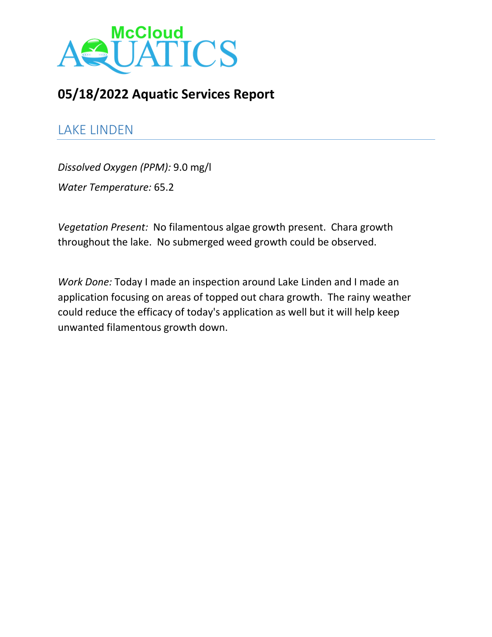

# **05/18/2022 Aquatic Services Report**

## LAKE LINDEN

*Dissolved Oxygen (PPM):* 9.0 mg/l *Water Temperature:* 65.2

*Vegetation Present:* No filamentous algae growth present. Chara growth throughout the lake. No submerged weed growth could be observed.

*Work Done:* Today I made an inspection around Lake Linden and I made an application focusing on areas of topped out chara growth. The rainy weather could reduce the efficacy of today's application as well but it will help keep unwanted filamentous growth down.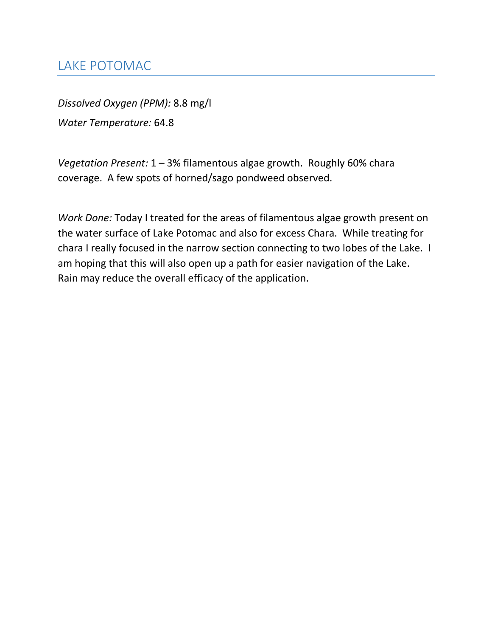## LAKE POTOMAC

*Dissolved Oxygen (PPM):* 8.8 mg/l *Water Temperature:* 64.8

*Vegetation Present:* 1 – 3% filamentous algae growth. Roughly 60% chara coverage. A few spots of horned/sago pondweed observed.

*Work Done:* Today I treated for the areas of filamentous algae growth present on the water surface of Lake Potomac and also for excess Chara. While treating for chara I really focused in the narrow section connecting to two lobes of the Lake. I am hoping that this will also open up a path for easier navigation of the Lake. Rain may reduce the overall efficacy of the application.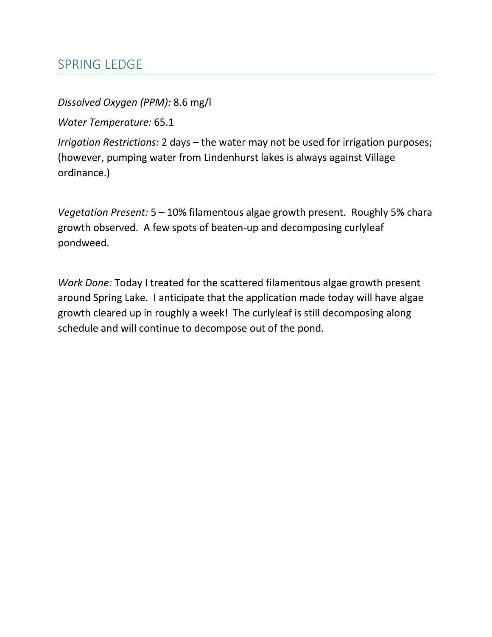#### SPRING LEDGE

*Dissolved Oxygen (PPM):* 8.6 mg/l

*Water Temperature:* 65.1

*Irrigation Restrictions:* 2 days – the water may not be used for irrigation purposes; (however, pumping water from Lindenhurst lakes is always against Village ordinance.)

*Vegetation Present:* 5 – 10% filamentous algae growth present. Roughly 5% chara growth observed. A few spots of beaten-up and decomposing curlyleaf pondweed.

*Work Done:* Today I treated for the scattered filamentous algae growth present around Spring Lake. I anticipate that the application made today will have algae growth cleared up in roughly a week! The curlyleaf is still decomposing along schedule and will continue to decompose out of the pond.